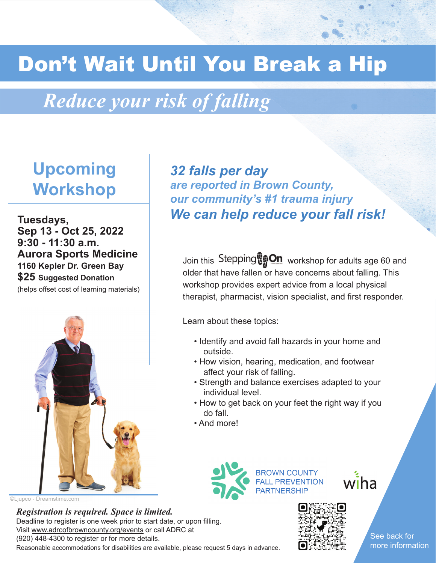# Don't Wait Until You Break a Hip

## *Reduce your risk of falling*

### **Upcoming Workshop**

**Tuesdays, Sep 13 - Oct 25, 2022 9:30 - 11:30 a.m. Aurora Sports Medicine 1160 Kepler Dr. Green Bay \$25 Suggested Donation** (helps offset cost of learning materials)



©Ljupco - Dreamstime.com

*Registration is required. Space is limited.* 

Reasonable accommodations for disabilities are available, please request 5 days in advance. Deadline to register is one week prior to start date, or upon filling. Visit www.adrcofbrowncounty.org/events or call ADRC at (920) 448-4300 to register or for more details.

*32 falls per day are reported in Brown County, our community's #1 trauma injury We can help reduce your fall risk!*

Join this Stepping $\mathbb{Q}_n^\bullet$  On workshop for adults age 60 and older that have fallen or have concerns about falling. This workshop provides expert advice from a local physical therapist, pharmacist, vision specialist, and first responder.

Learn about these topics:

- Identify and avoid fall hazards in your home and outside.
- How vision, hearing, medication, and footwear affect your risk of falling.
- Strength and balance exercises adapted to your individual level.
- How to get back on your feet the right way if you do fall.
- And more!



**BROWN COUNTY FALL PREVENTION PARTNERSHIP** 



wiha

See back for more information